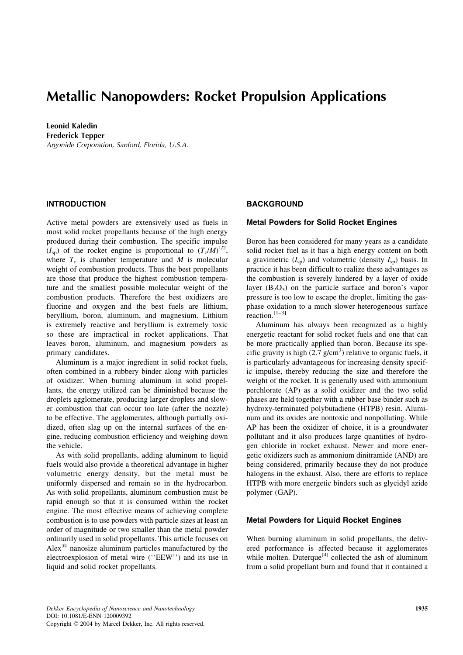## Metallic Nanopowders: Rocket Propulsion Applications

Leonid Kaledin Frederick Tepper Argonide Corporation, Sanford, Florida, U.S.A.

### INTRODUCTION

Active metal powders are extensively used as fuels in most solid rocket propellants because of the high energy produced during their combustion. The specific impulse  $(I_{\rm sp})$  of the rocket engine is proportional to  $(T_{\rm c}/M)^{1/2}$ , where  $T_c$  is chamber temperature and M is molecular weight of combustion products. Thus the best propellants are those that produce the highest combustion temperature and the smallest possible molecular weight of the combustion products. Therefore the best oxidizers are fluorine and oxygen and the best fuels are lithium, beryllium, boron, aluminum, and magnesium. Lithium is extremely reactive and beryllium is extremely toxic so these are impractical in rocket applications. That leaves boron, aluminum, and magnesium powders as primary candidates.

Aluminum is a major ingredient in solid rocket fuels, often combined in a rubbery binder along with particles of oxidizer. When burning aluminum in solid propellants, the energy utilized can be diminished because the droplets agglomerate, producing larger droplets and slower combustion that can occur too late (after the nozzle) to be effective. The agglomerates, although partially oxidized, often slag up on the internal surfaces of the engine, reducing combustion efficiency and weighing down the vehicle.

As with solid propellants, adding aluminum to liquid fuels would also provide a theoretical advantage in higher volumetric energy density, but the metal must be uniformly dispersed and remain so in the hydrocarbon. As with solid propellants, aluminum combustion must be rapid enough so that it is consumed within the rocket engine. The most effective means of achieving complete combustion is to use powders with particle sizes at least an order of magnitude or two smaller than the metal powder ordinarily used in solid propellants. This article focuses on Alex $^{\circledR}$  nanosize aluminum particles manufactured by the electroexplosion of metal wire (''EEW'') and its use in liquid and solid rocket propellants.

## **BACKGROUND**

#### Metal Powders for Solid Rocket Engines

Boron has been considered for many years as a candidate solid rocket fuel as it has a high energy content on both a gravimetric  $(I_{\rm SD})$  and volumetric (density  $I_{\rm SD}$ ) basis. In practice it has been difficult to realize these advantages as the combustion is severely hindered by a layer of oxide layer  $(B_2O_3)$  on the particle surface and boron's vapor pressure is too low to escape the droplet, limiting the gasphase oxidation to a much slower heterogeneous surface reaction.[1–3]

Aluminum has always been recognized as a highly energetic reactant for solid rocket fuels and one that can be more practically applied than boron. Because its specific gravity is high  $(2.7 \text{ g/cm}^3)$  relative to organic fuels, it is particularly advantageous for increasing density specific impulse, thereby reducing the size and therefore the weight of the rocket. It is generally used with ammonium perchlorate (AP) as a solid oxidizer and the two solid phases are held together with a rubber base binder such as hydroxy-terminated polybutadiene (HTPB) resin. Aluminum and its oxides are nontoxic and nonpolluting. While AP has been the oxidizer of choice, it is a groundwater pollutant and it also produces large quantities of hydrogen chloride in rocket exhaust. Newer and more energetic oxidizers such as ammonium dinitramide (AND) are being considered, primarily because they do not produce halogens in the exhaust. Also, there are efforts to replace HTPB with more energetic binders such as glycidyl azide polymer (GAP).

#### Metal Powders for Liquid Rocket Engines

When burning aluminum in solid propellants, the delivered performance is affected because it agglomerates while molten. Duterque<sup>[4]</sup> collected the ash of aluminum from a solid propellant burn and found that it contained a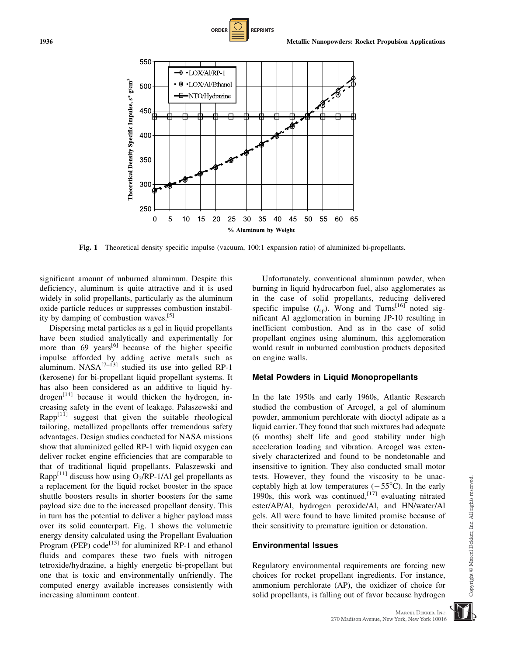significant amount of unburned aluminum. Despite this deficiency, aluminum is quite attractive and it is used widely in solid propellants, particularly as the aluminum oxide particle reduces or suppresses combustion instability by damping of combustion waves.<sup>[5]</sup>

Dispersing metal particles as a gel in liquid propellants have been studied analytically and experimentally for more than  $69$  years<sup>[6]</sup> because of the higher specific impulse afforded by adding active metals such as aluminum.  $NASA^{[7-13]}$  studied its use into gelled RP-1 (kerosene) for bi-propellant liquid propellant systems. It has also been considered as an additive to liquid hydrogen $[14]$  because it would thicken the hydrogen, increasing safety in the event of leakage. Palaszewski and  $Rapp<sup>[11]</sup>$  suggest that given the suitable rheological tailoring, metallized propellants offer tremendous safety advantages. Design studies conducted for NASA missions show that aluminized gelled RP-1 with liquid oxygen can deliver rocket engine efficiencies that are comparable to that of traditional liquid propellants. Palaszewski and Rapp<sup>[11]</sup> discuss how using  $O_2/RP-1/A1$  gel propellants as a replacement for the liquid rocket booster in the space shuttle boosters results in shorter boosters for the same payload size due to the increased propellant density. This in turn has the potential to deliver a higher payload mass over its solid counterpart. Fig. 1 shows the volumetric energy density calculated using the Propellant Evaluation Program (PEP) code<sup>[15]</sup> for aluminized RP-1 and ethanol fluids and compares these two fuels with nitrogen tetroxide/hydrazine, a highly energetic bi-propellant but one that is toxic and environmentally unfriendly. The computed energy available increases consistently with increasing aluminum content.

Unfortunately, conventional aluminum powder, when burning in liquid hydrocarbon fuel, also agglomerates as in the case of solid propellants, reducing delivered specific impulse  $(I_{\rm SD})$ . Wong and Turns<sup>[16]</sup> noted significant Al agglomeration in burning JP-10 resulting in inefficient combustion. And as in the case of solid propellant engines using aluminum, this agglomeration would result in unburned combustion products deposited on engine walls.

#### Metal Powders in Liquid Monopropellants

In the late 1950s and early 1960s, Atlantic Research studied the combustion of Arcogel, a gel of aluminum powder, ammonium perchlorate with dioctyl adipate as a liquid carrier. They found that such mixtures had adequate (6 months) shelf life and good stability under high acceleration loading and vibration. Arcogel was extensively characterized and found to be nondetonable and insensitive to ignition. They also conducted small motor tests. However, they found the viscosity to be unacceptably high at low temperatures  $(-55^{\circ}C)$ . In the early 1990s, this work was continued,  $[17]$  evaluating nitrated ester/AP/Al, hydrogen peroxide/Al, and HN/water/Al gels. All were found to have limited promise because of their sensitivity to premature ignition or detonation.

#### Environmental Issues

Regulatory environmental requirements are forcing new choices for rocket propellant ingredients. For instance, ammonium perchlorate (AP), the oxidizer of choice for solid propellants, is falling out of favor because hydrogen





Fig. 1 Theoretical density specific impulse (vacuum, 100:1 expansion ratio) of aluminized bi-propellants.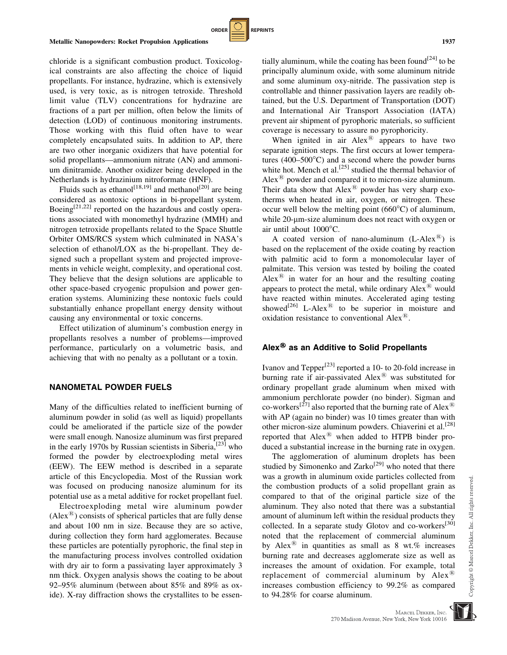chloride is a significant combustion product. Toxicological constraints are also affecting the choice of liquid propellants. For instance, hydrazine, which is extensively used, is very toxic, as is nitrogen tetroxide. Threshold limit value (TLV) concentrations for hydrazine are fractions of a part per million, often below the limits of detection (LOD) of continuous monitoring instruments. Those working with this fluid often have to wear completely encapsulated suits. In addition to AP, there are two other inorganic oxidizers that have potential for solid propellants—ammonium nitrate (AN) and ammonium dinitramide. Another oxidizer being developed in the Netherlands is hydrazinium nitroformate (HNF).

**ORDER REPRINTS** 

Fluids such as ethanol<sup>[18,19]</sup> and methanol<sup>[20]</sup> are being considered as nontoxic options in bi-propellant system. Boeing<sup>[21,22]</sup> reported on the hazardous and costly operations associated with monomethyl hydrazine (MMH) and nitrogen tetroxide propellants related to the Space Shuttle Orbiter OMS/RCS system which culminated in NASA's selection of ethanol/LOX as the bi-propellant. They designed such a propellant system and projected improvements in vehicle weight, complexity, and operational cost. They believe that the design solutions are applicable to other space-based cryogenic propulsion and power generation systems. Aluminizing these nontoxic fuels could substantially enhance propellant energy density without causing any environmental or toxic concerns.

Effect utilization of aluminum's combustion energy in propellants resolves a number of problems—improved performance, particularly on a volumetric basis, and achieving that with no penalty as a pollutant or a toxin.

#### NANOMETAL POWDER FUELS

Many of the difficulties related to inefficient burning of aluminum powder in solid (as well as liquid) propellants could be ameliorated if the particle size of the powder were small enough. Nanosize aluminum was first prepared in the early 1970s by Russian scientists in Siberia,  $^{[23]}$  who formed the powder by electroexploding metal wires (EEW). The EEW method is described in a separate article of this Encyclopedia. Most of the Russian work was focused on producing nanosize aluminum for its potential use as a metal additive for rocket propellant fuel.

Electroexploding metal wire aluminum powder  $(Alex^{\mathcal{B}})$  consists of spherical particles that are fully dense and about 100 nm in size. Because they are so active, during collection they form hard agglomerates. Because these particles are potentially pyrophoric, the final step in the manufacturing process involves controlled oxidation with dry air to form a passivating layer approximately 3 nm thick. Oxygen analysis shows the coating to be about 92–95% aluminum (between about 85% and 89% as oxide). X-ray diffraction shows the crystallites to be essentially aluminum, while the coating has been found<sup>[24]</sup> to be principally aluminum oxide, with some aluminum nitride and some aluminum oxy-nitride. The passivation step is controllable and thinner passivation layers are readily obtained, but the U.S. Department of Transportation (DOT) and International Air Transport Association (IATA) prevent air shipment of pyrophoric materials, so sufficient coverage is necessary to assure no pyrophoricity.

When ignited in air  $Alex^{\circledR}$  appears to have two separate ignition steps. The first occurs at lower temperatures  $(400-500^{\circ}C)$  and a second where the powder burns white hot. Mench et al.<sup>[25]</sup> studied the thermal behavior of Alex $^{\circledR}$  powder and compared it to micron-size aluminum. Their data show that  $Alex^@$  powder has very sharp exotherms when heated in air, oxygen, or nitrogen. These occur well below the melting point  $(660^{\circ}C)$  of aluminum, while 20-µm-size aluminum does not react with oxygen or air until about 1000°C.

A coated version of nano-aluminum  $(L-Alex^{\circledR})$  is based on the replacement of the oxide coating by reaction with palmitic acid to form a monomolecular layer of palmitate. This version was tested by boiling the coated Alex $^{(8)}$  in water for an hour and the resulting coating appears to protect the metal, while ordinary  $Alex^{\circledR}$  would have reacted within minutes. Accelerated aging testing showed<sup>[26]</sup> L-Alex<sup>®</sup> to be superior in moisture and oxidation resistance to conventional  $Alex^{\mathcal{B}}$ .

#### Alex $<sup>®</sup>$  as an Additive to Solid Propellants</sup>

Ivanov and Tepper[23] reported a 10- to 20-fold increase in burning rate if air-passivated  $Alex^{\circledR}$  was substituted for ordinary propellant grade aluminum when mixed with ammonium perchlorate powder (no binder). Sigman and co-workers<sup>[27]</sup> also reported that the burning rate of Alex<sup>®</sup> with AP (again no binder) was 10 times greater than with other micron-size aluminum powders. Chiaverini et al.<sup>[28]</sup> reported that Alex<sup>®</sup> when added to HTPB binder produced a substantial increase in the burning rate in oxygen.

The agglomeration of aluminum droplets has been studied by Simonenko and Zarko<sup>[29]</sup> who noted that there was a growth in aluminum oxide particles collected from the combustion products of a solid propellant grain as compared to that of the original particle size of the aluminum. They also noted that there was a substantial amount of aluminum left within the residual products they collected. In a separate study Glotov and co-workers<sup>[30]</sup> noted that the replacement of commercial aluminum by Alex<sup>®</sup> in quantities as small as 8 wt.% increases burning rate and decreases agglomerate size as well as increases the amount of oxidation. For example, total replacement of commercial aluminum by  $Alex^{\circledR}$ increases combustion efficiency to 99.2% as compared to 94.28% for coarse aluminum.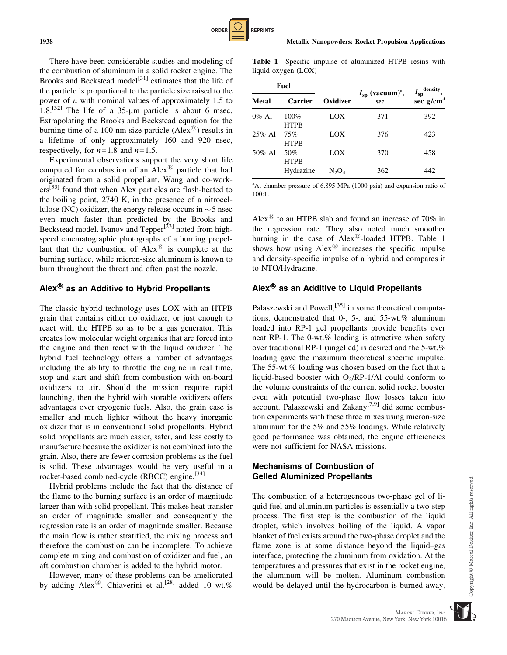There have been considerable studies and modeling of the combustion of aluminum in a solid rocket engine. The Brooks and Beckstead model<sup>[31]</sup> estimates that the life of the particle is proportional to the particle size raised to the power of  $n$  with nominal values of approximately 1.5 to 1.8.<sup>[32]</sup> The life of a 35-µm particle is about 6 msec. Extrapolating the Brooks and Beckstead equation for the burning time of a 100-nm-size particle  $(Alex^{\mathcal{B}})$  results in a lifetime of only approximately 160 and 920 nsec, respectively, for  $n=1.8$  and  $n=1.5$ .

Experimental observations support the very short life computed for combustion of an  $Alex^@$  particle that had originated from a solid propellant. Wang and co-workers<sup>[33]</sup> found that when Alex particles are flash-heated to the boiling point, 2740 K, in the presence of a nitrocellulose (NC) oxidizer, the energy release occurs in  $\sim$  5 nsec even much faster than predicted by the Brooks and Beckstead model. Ivanov and Tepper<sup>[23]</sup> noted from highspeed cinematographic photographs of a burning propellant that the combustion of  $Alex^{\circledR}$  is complete at the burning surface, while micron-size aluminum is known to burn throughout the throat and often past the nozzle.

## Alex<sup>®</sup> as an Additive to Hybrid Propellants

The classic hybrid technology uses LOX with an HTPB grain that contains either no oxidizer, or just enough to react with the HTPB so as to be a gas generator. This creates low molecular weight organics that are forced into the engine and then react with the liquid oxidizer. The hybrid fuel technology offers a number of advantages including the ability to throttle the engine in real time, stop and start and shift from combustion with on-board oxidizers to air. Should the mission require rapid launching, then the hybrid with storable oxidizers offers advantages over cryogenic fuels. Also, the grain case is smaller and much lighter without the heavy inorganic oxidizer that is in conventional solid propellants. Hybrid solid propellants are much easier, safer, and less costly to manufacture because the oxidizer is not combined into the grain. Also, there are fewer corrosion problems as the fuel is solid. These advantages would be very useful in a rocket-based combined-cycle (RBCC) engine.<sup>[34]</sup>

Hybrid problems include the fact that the distance of the flame to the burning surface is an order of magnitude larger than with solid propellant. This makes heat transfer an order of magnitude smaller and consequently the regression rate is an order of magnitude smaller. Because the main flow is rather stratified, the mixing process and therefore the combustion can be incomplete. To achieve complete mixing and combustion of oxidizer and fuel, an aft combustion chamber is added to the hybrid motor.

However, many of these problems can be ameliorated by adding Alex<sup>®</sup>. Chiaverini et al.<sup>[28]</sup> added 10 wt.%

Table 1 Specific impulse of aluminized HTPB resins with liquid oxygen (LOX)

**ORDER REPRINTS** 

| Fuel      |                        |                            |                                             | density                 |
|-----------|------------------------|----------------------------|---------------------------------------------|-------------------------|
| Metal     | Carrier                | Oxidizer                   | $I_{\rm sp}$ (vacuum) <sup>a</sup> ,<br>sec | $I_{sp}$<br>sec $g/cm3$ |
| $0\%$ Al  | $100\%$<br><b>HTPB</b> | LOX                        | 371                                         | 392                     |
| $25\%$ Al | 75%<br><b>HTPR</b>     | LOX                        | 376                                         | 423                     |
| 50% Al    | 50%<br><b>HTPB</b>     | LOX                        | 370                                         | 458                     |
|           | Hydrazine              | $\mathrm{N}_2\mathrm{O}_4$ | 362                                         | 442                     |

<sup>a</sup>At chamber pressure of 6.895 MPa (1000 psia) and expansion ratio of 100:1.

Alex $^{(8)}$  to an HTPB slab and found an increase of 70% in the regression rate. They also noted much smoother burning in the case of  $Alex^{\circledR}$ -loaded HTPB. Table 1 shows how using  $Alex^{\circledR}$  increases the specific impulse and density-specific impulse of a hybrid and compares it to NTO/Hydrazine.

## Alex<sup>®</sup> as an Additive to Liquid Propellants

Palaszewski and Powell,<sup>[35]</sup> in some theoretical computations, demonstrated that 0-, 5-, and 55-wt.% aluminum loaded into RP-1 gel propellants provide benefits over neat RP-1. The 0-wt.% loading is attractive when safety over traditional RP-1 (ungelled) is desired and the 5-wt.% loading gave the maximum theoretical specific impulse. The 55-wt.% loading was chosen based on the fact that a liquid-based booster with  $O<sub>2</sub>/RP-1/A1$  could conform to the volume constraints of the current solid rocket booster even with potential two-phase flow losses taken into account. Palaszewski and Zakany<sup>[7,9]</sup> did some combustion experiments with these three mixes using micron-size aluminum for the 5% and 55% loadings. While relatively good performance was obtained, the engine efficiencies were not sufficient for NASA missions.

### Mechanisms of Combustion of Gelled Aluminized Propellants

The combustion of a heterogeneous two-phase gel of liquid fuel and aluminum particles is essentially a two-step process. The first step is the combustion of the liquid droplet, which involves boiling of the liquid. A vapor blanket of fuel exists around the two-phase droplet and the flame zone is at some distance beyond the liquid–gas interface, protecting the aluminum from oxidation. At the temperatures and pressures that exist in the rocket engine, the aluminum will be molten. Aluminum combustion would be delayed until the hydrocarbon is burned away,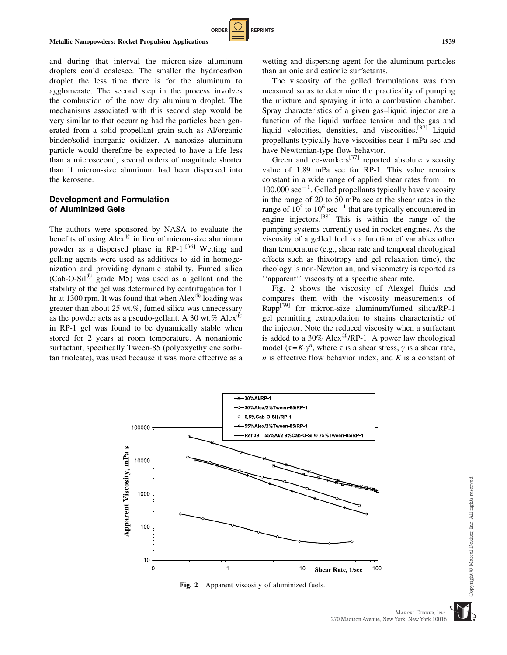

## Development and Formulation of Aluminized Gels

The authors were sponsored by NASA to evaluate the benefits of using  $Alex^@$  in lieu of micron-size aluminum powder as a dispersed phase in RP-1.<sup>[36]</sup> Wetting and gelling agents were used as additives to aid in homogenization and providing dynamic stability. Fumed silica  $(Cab-O-Sil<sup>®</sup>$  grade M5) was used as a gellant and the stability of the gel was determined by centrifugation for 1 hr at 1300 rpm. It was found that when  $Alex^{\otimes}$  loading was greater than about 25 wt.%, fumed silica was unnecessary as the powder acts as a pseudo-gellant. A 30 wt.% Alex<sup>®</sup> in RP-1 gel was found to be dynamically stable when stored for 2 years at room temperature. A nonanionic surfactant, specifically Tween-85 (polyoxyethylene sorbitan trioleate), was used because it was more effective as a wetting and dispersing agent for the aluminum particles than anionic and cationic surfactants.

The viscosity of the gelled formulations was then measured so as to determine the practicality of pumping the mixture and spraying it into a combustion chamber. Spray characteristics of a given gas–liquid injector are a function of the liquid surface tension and the gas and liquid velocities, densities, and viscosities.<sup>[37]</sup> Liquid propellants typically have viscosities near 1 mPa sec and have Newtonian-type flow behavior.

Green and co-workers $^{[37]}$  reported absolute viscosity value of 1.89 mPa sec for RP-1. This value remains constant in a wide range of applied shear rates from 1 to  $100,000 \text{ sec}^{-1}$ . Gelled propellants typically have viscosity in the range of 20 to 50 mPa sec at the shear rates in the range of  $10^5$  to  $10^6$  sec<sup>-1</sup> that are typically encountered in engine injectors.[38] This is within the range of the pumping systems currently used in rocket engines. As the viscosity of a gelled fuel is a function of variables other than temperature (e.g., shear rate and temporal rheological effects such as thixotropy and gel relaxation time), the rheology is non-Newtonian, and viscometry is reported as ''apparent'' viscosity at a specific shear rate.

Fig. 2 shows the viscosity of Alexgel fluids and compares them with the viscosity measurements of  $Rapp^{[39]}$  for micron-size aluminum/fumed silica/RP-1 gel permitting extrapolation to strains characteristic of the injector. Note the reduced viscosity when a surfactant is added to a 30% Alex<sup>®</sup>/RP-1. A power law rheological model ( $\tau = K \gamma^n$ , where  $\tau$  is a shear stress,  $\gamma$  is a shear rate,  $n$  is effective flow behavior index, and  $K$  is a constant of



**ORDER REPRINTS** 

Fig. 2 Apparent viscosity of aluminized fuels.

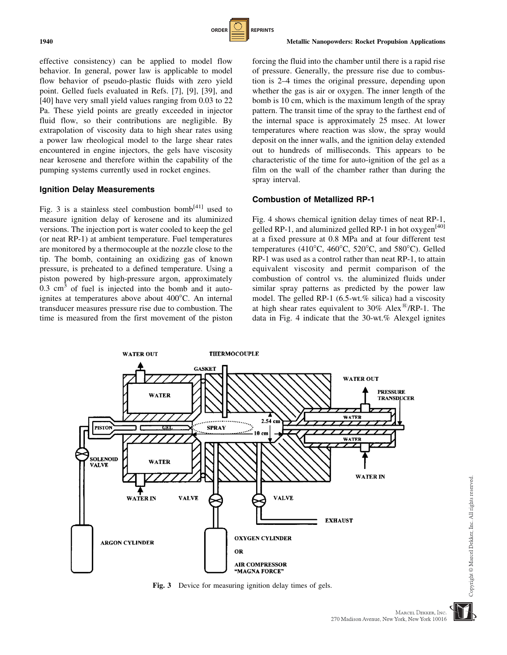

effective consistency) can be applied to model flow behavior. In general, power law is applicable to model flow behavior of pseudo-plastic fluids with zero yield point. Gelled fuels evaluated in Refs. [7], [9], [39], and [40] have very small yield values ranging from 0.03 to 22 Pa. These yield points are greatly exceeded in injector fluid flow, so their contributions are negligible. By extrapolation of viscosity data to high shear rates using a power law rheological model to the large shear rates encountered in engine injectors, the gels have viscosity near kerosene and therefore within the capability of the pumping systems currently used in rocket engines.

#### Ignition Delay Measurements

Fig. 3 is a stainless steel combustion bomb $[41]$  used to measure ignition delay of kerosene and its aluminized versions. The injection port is water cooled to keep the gel (or neat RP-1) at ambient temperature. Fuel temperatures are monitored by a thermocouple at the nozzle close to the tip. The bomb, containing an oxidizing gas of known pressure, is preheated to a defined temperature. Using a piston powered by high-pressure argon, approximately  $0.3 \text{ cm}^3$  of fuel is injected into the bomb and it autoignites at temperatures above about  $400^{\circ}$ C. An internal transducer measures pressure rise due to combustion. The time is measured from the first movement of the piston forcing the fluid into the chamber until there is a rapid rise of pressure. Generally, the pressure rise due to combustion is 2–4 times the original pressure, depending upon whether the gas is air or oxygen. The inner length of the bomb is 10 cm, which is the maximum length of the spray pattern. The transit time of the spray to the farthest end of the internal space is approximately 25 msec. At lower temperatures where reaction was slow, the spray would deposit on the inner walls, and the ignition delay extended out to hundreds of milliseconds. This appears to be characteristic of the time for auto-ignition of the gel as a film on the wall of the chamber rather than during the spray interval.

#### Combustion of Metallized RP-1

Fig. 4 shows chemical ignition delay times of neat RP-1, gelled RP-1, and aluminized gelled RP-1 in hot oxygen<sup>[40]</sup> at a fixed pressure at 0.8 MPa and at four different test temperatures (410°C, 460°C, 520°C, and 580°C). Gelled RP-1 was used as a control rather than neat RP-1, to attain equivalent viscosity and permit comparison of the combustion of control vs. the aluminized fluids under similar spray patterns as predicted by the power law model. The gelled RP-1 (6.5-wt.% silica) had a viscosity at high shear rates equivalent to  $30\%$  Alex<sup>®</sup>/RP-1. The data in Fig. 4 indicate that the 30-wt.% Alexgel ignites



Fig. 3 Device for measuring ignition delay times of gels.

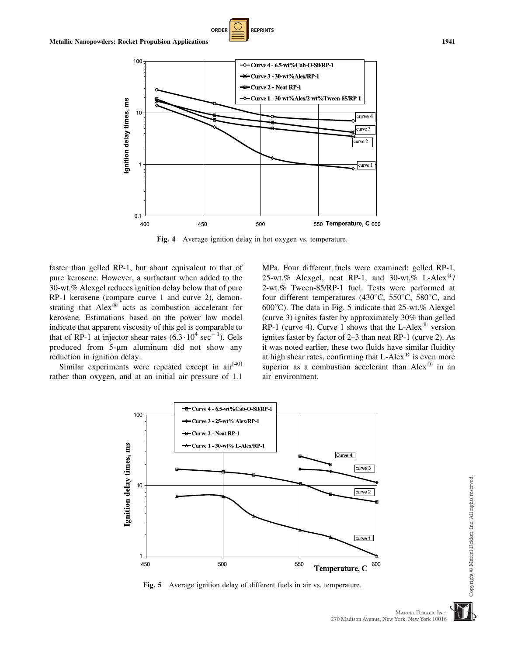

**ORDER REPRINTS** 

Fig. 4 Average ignition delay in hot oxygen vs. temperature.

faster than gelled RP-1, but about equivalent to that of pure kerosene. However, a surfactant when added to the 30-wt.% Alexgel reduces ignition delay below that of pure RP-1 kerosene (compare curve 1 and curve 2), demonstrating that  $Alex^{\circledR}$  acts as combustion accelerant for kerosene. Estimations based on the power law model indicate that apparent viscosity of this gel is comparable to that of RP-1 at injector shear rates  $(6.3 \cdot 10^4 \text{ sec}^{-1})$ . Gels produced from 5-um aluminum did not show any reduction in ignition delay.

Similar experiments were repeated except in air<sup>[40]</sup> rather than oxygen, and at an initial air pressure of 1.1

MPa. Four different fuels were examined: gelled RP-1, 25-wt.% Alexgel, neat RP-1, and 30-wt.% L-Alex $\mathbb{B}/$ 2-wt.% Tween-85/RP-1 fuel. Tests were performed at four different temperatures (430 $^{\circ}$ C, 550 $^{\circ}$ C, 580 $^{\circ}$ C, and  $600^{\circ}$ C). The data in Fig. 5 indicate that 25-wt.% Alexgel (curve 3) ignites faster by approximately 30% than gelled RP-1 (curve 4). Curve 1 shows that the L-Alex<sup>®</sup> version ignites faster by factor of 2–3 than neat RP-1 (curve 2). As it was noted earlier, these two fluids have similar fluidity at high shear rates, confirming that  $L$ -Alex $^{\circledR}$  is even more superior as a combustion accelerant than  $Alex^@$  in an air environment.



Fig. 5 Average ignition delay of different fuels in air vs. temperature.

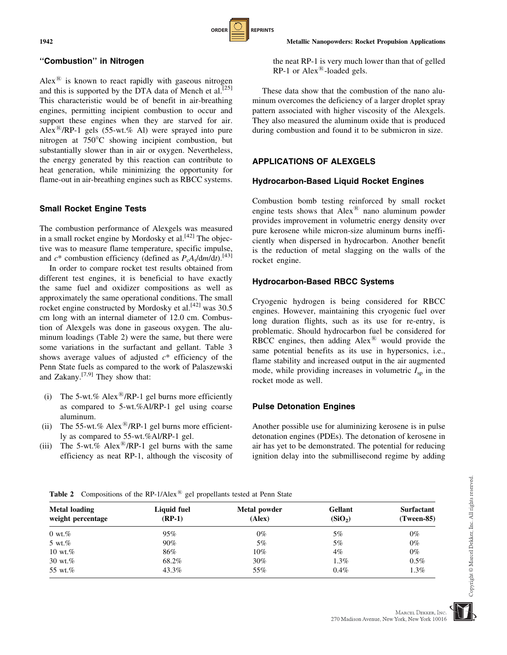### ''Combustion'' in Nitrogen

 $Alex^{\circledR}$  is known to react rapidly with gaseous nitrogen and this is supported by the DTA data of Mench et al.  $[25]$ This characteristic would be of benefit in air-breathing engines, permitting incipient combustion to occur and support these engines when they are starved for air. Alex<sup>®</sup>/RP-1 gels (55-wt.% Al) were sprayed into pure nitrogen at 750°C showing incipient combustion, but substantially slower than in air or oxygen. Nevertheless, the energy generated by this reaction can contribute to heat generation, while minimizing the opportunity for flame-out in air-breathing engines such as RBCC systems.

## Small Rocket Engine Tests

The combustion performance of Alexgels was measured in a small rocket engine by Mordosky et al.  $[42]$  The objective was to measure flame temperature, specific impulse, and  $c^*$  combustion efficiency (defined as  $P_cA_t/dm/dt$ ).<sup>[43]</sup>

In order to compare rocket test results obtained from different test engines, it is beneficial to have exactly the same fuel and oxidizer compositions as well as approximately the same operational conditions. The small rocket engine constructed by Mordosky et al.<sup>[42]</sup> was 30.5 cm long with an internal diameter of 12.0 cm. Combustion of Alexgels was done in gaseous oxygen. The aluminum loadings (Table 2) were the same, but there were some variations in the surfactant and gellant. Table 3 shows average values of adjusted  $c^*$  efficiency of the Penn State fuels as compared to the work of Palaszewski and Zakany. $[7,9]$  They show that:

- (i) The 5-wt.% Alex<sup>®</sup>/RP-1 gel burns more efficiently as compared to 5-wt.%Al/RP-1 gel using coarse aluminum.
- (ii) The 55-wt.% Alex<sup>®</sup>/RP-1 gel burns more efficiently as compared to 55-wt.%Al/RP-1 gel.
- (iii) The 5-wt.% Alex<sup>®</sup>/RP-1 gel burns with the same efficiency as neat RP-1, although the viscosity of

the neat RP-1 is very much lower than that of gelled  $RP-1$  or  $Alex^{\circledR}$ -loaded gels.

These data show that the combustion of the nano aluminum overcomes the deficiency of a larger droplet spray pattern associated with higher viscosity of the Alexgels. They also measured the aluminum oxide that is produced during combustion and found it to be submicron in size.

#### APPLICATIONS OF ALEXGELS

**ORDER REPRINTS** 

#### Hydrocarbon-Based Liquid Rocket Engines

Combustion bomb testing reinforced by small rocket engine tests shows that  $Alex^@$  nano aluminum powder provides improvement in volumetric energy density over pure kerosene while micron-size aluminum burns inefficiently when dispersed in hydrocarbon. Another benefit is the reduction of metal slagging on the walls of the rocket engine.

#### Hydrocarbon-Based RBCC Systems

Cryogenic hydrogen is being considered for RBCC engines. However, maintaining this cryogenic fuel over long duration flights, such as its use for re-entry, is problematic. Should hydrocarbon fuel be considered for RBCC engines, then adding  $Alex^@$  would provide the same potential benefits as its use in hypersonics, i.e., flame stability and increased output in the air augmented mode, while providing increases in volumetric  $I_{\rm SD}$  in the rocket mode as well.

#### Pulse Detonation Engines

Another possible use for aluminizing kerosene is in pulse detonation engines (PDEs). The detonation of kerosene in air has yet to be demonstrated. The potential for reducing ignition delay into the submillisecond regime by adding

| Metal loading<br>weight percentage | Liquid fuel<br>$(RP-1)$ | Metal powder<br>(Alex) | Gellant<br>(SiO <sub>2</sub> ) | <b>Surfactant</b><br>(Tween-85) |
|------------------------------------|-------------------------|------------------------|--------------------------------|---------------------------------|
| $0 \text{ wt.} %$                  | 95%                     | $0\%$                  | 5%                             | $0\%$                           |
| 5 wt. $%$                          | $90\%$                  | 5%                     | 5%                             | $0\%$                           |
| 10 wt. $%$                         | 86%                     | $10\%$                 | $4\%$                          | $0\%$                           |
| 30 wt. $%$                         | 68.2%                   | 30%                    | 1.3%                           | $0.5\%$                         |
| 55 wt.%                            | 43.3%                   | 55%                    | $0.4\%$                        | $1.3\%$                         |

Copyright © Marcel Dekker, Inc. All rights reserved

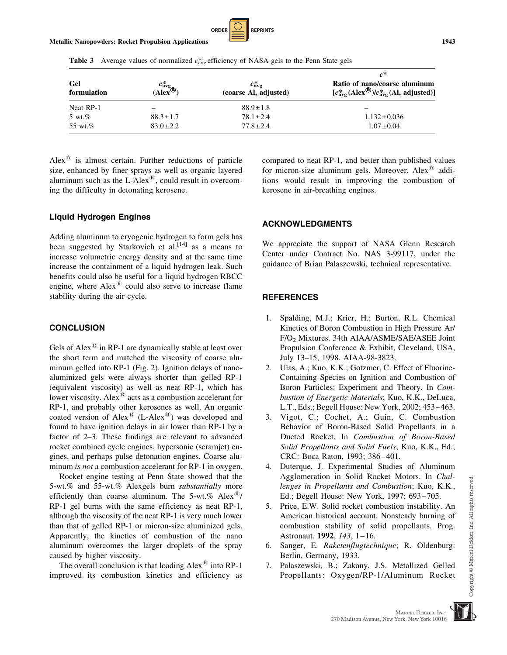

**Table 3** Average values of normalized  $c^*_{\text{avg}}$  efficiency of NASA gels to the Penn State gels

| Gel<br>formulation | $\frac{c_{\text{avg}}^{*}}{(\text{Alex}^{\bigoplus})}$ | $c^*_{\rm ave}$<br>(coarse Al, adjusted) | $c^*$<br>Ratio of nano/coarse aluminum<br>$[c_{\text{avg}}^{*}(Alex^{\circledR})/c_{\text{avg}}^{*}(AI, adjusted)]$ |  |
|--------------------|--------------------------------------------------------|------------------------------------------|---------------------------------------------------------------------------------------------------------------------|--|
| Neat RP-1          |                                                        | $88.9 \pm 1.8$                           |                                                                                                                     |  |
| 5 wt. $%$          | $88.3 \pm 1.7$                                         | $78.1 \pm 2.4$                           | $1.132 \pm 0.036$                                                                                                   |  |
| 55 wt.%            | $83.0 \pm 2.2$                                         | $77.8 \pm 2.4$                           | $1.07 \pm 0.04$                                                                                                     |  |

Alex $\textsuperscript{18}$  is almost certain. Further reductions of particle size, enhanced by finer sprays as well as organic layered aluminum such as the L-Alex $\mathbb{R}$ , could result in overcoming the difficulty in detonating kerosene.

## Liquid Hydrogen Engines

Adding aluminum to cryogenic hydrogen to form gels has been suggested by Starkovich et al.<sup>[14]</sup> as a means to increase volumetric energy density and at the same time increase the containment of a liquid hydrogen leak. Such benefits could also be useful for a liquid hydrogen RBCC engine, where  $Alex^{\circledR}$  could also serve to increase flame stability during the air cycle.

## **CONCLUSION**

Gels of Alex $\mathbb{B}$  in RP-1 are dynamically stable at least over the short term and matched the viscosity of coarse aluminum gelled into RP-1 (Fig. 2). Ignition delays of nanoaluminized gels were always shorter than gelled RP-1 (equivalent viscosity) as well as neat RP-1, which has lower viscosity. Alex $\mathbb{R}$  acts as a combustion accelerant for RP-1, and probably other kerosenes as well. An organic coated version of Alex<sup>®</sup> (L-Alex<sup>®</sup>) was developed and found to have ignition delays in air lower than RP-1 by a factor of 2–3. These findings are relevant to advanced rocket combined cycle engines, hypersonic (scramjet) engines, and perhaps pulse detonation engines. Coarse aluminum *is not* a combustion accelerant for RP-1 in oxygen.

Rocket engine testing at Penn State showed that the 5-wt.% and 55-wt.% Alexgels burn substantially more efficiently than coarse aluminum. The 5-wt.%  $Alex^{\mathcal{B}}/$ RP-1 gel burns with the same efficiency as neat RP-1, although the viscosity of the neat RP-1 is very much lower than that of gelled RP-1 or micron-size aluminized gels. Apparently, the kinetics of combustion of the nano aluminum overcomes the larger droplets of the spray caused by higher viscosity.

The overall conclusion is that loading  $Alex^<sup>(8)</sup>$  into RP-1 improved its combustion kinetics and efficiency as compared to neat RP-1, and better than published values for micron-size aluminum gels. Moreover, Alex $^{\circledR}$  additions would result in improving the combustion of kerosene in air-breathing engines.

## ACKNOWLEDGMENTS

We appreciate the support of NASA Glenn Research Center under Contract No. NAS 3-99117, under the guidance of Brian Palaszewski, technical representative.

## **REFERENCES**

- 1. Spalding, M.J.; Krier, H.; Burton, R.L. Chemical Kinetics of Boron Combustion in High Pressure Ar/ F/O2 Mixtures. 34th AIAA/ASME/SAE/ASEE Joint Propulsion Conference & Exhibit, Cleveland, USA, July 13–15, 1998. AIAA-98-3823.
- 2. Ulas, A.; Kuo, K.K.; Gotzmer, C. Effect of Fluorine-Containing Species on Ignition and Combustion of Boron Particles: Experiment and Theory. In Combustion of Energetic Materials; Kuo, K.K., DeLuca, L.T., Eds.; Begell House: New York, 2002; 453–463.
- 3. Vigot, C.; Cochet, A.; Guin, C. Combustion Behavior of Boron-Based Solid Propellants in a Ducted Rocket. In Combustion of Boron-Based Solid Propellants and Solid Fuels; Kuo, K.K., Ed.; CRC: Boca Raton, 1993; 386–401.
- 4. Duterque, J. Experimental Studies of Aluminum Agglomeration in Solid Rocket Motors. In Challenges in Propellants and Combustion; Kuo, K.K., Ed.; Begell House: New York, 1997; 693–705.
- 5. Price, E.W. Solid rocket combustion instability. An American historical account. Nonsteady burning of combustion stability of solid propellants. Prog. Astronaut. 1992, 143, 1–16.
- 6. Sanger, E. Raketenflugtechnique; R. Oldenburg: Berlin, Germany, 1933.
- 7. Palaszewski, B.; Zakany, J.S. Metallized Gelled Propellants: Oxygen/RP-1/Aluminum Rocket

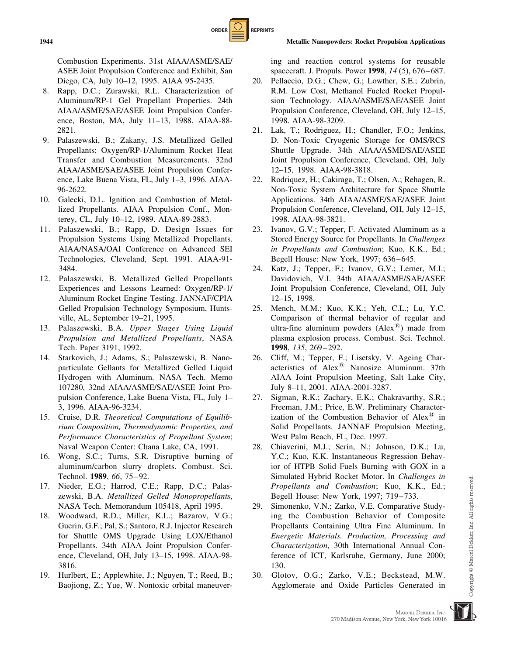Combustion Experiments. 31st AIAA/ASME/SAE/ ASEE Joint Propulsion Conference and Exhibit, San Diego, CA, July 10–12, 1995. AIAA 95-2435.

- 8. Rapp, D.C.; Zurawski, R.L. Characterization of Aluminum/RP-1 Gel Propellant Properties. 24th AIAA/ASME/SAE/ASEE Joint Propulsion Conference, Boston, MA, July 11–13, 1988. AIAA-88- 2821.
- 9. Palaszewski, B.; Zakany, J.S. Metallized Gelled Propellants: Oxygen/RP-1/Aluminum Rocket Heat Transfer and Combustion Measurements. 32nd AIAA/ASME/SAE/ASEE Joint Propulsion Conference, Lake Buena Vista, FL, July 1–3, 1996. AIAA-96-2622.
- 10. Galecki, D.L. Ignition and Combustion of Metallized Propellants. AIAA Propulsion Conf., Monterey, CL, July 10–12, 1989. AIAA-89-2883.
- 11. Palaszewski, B.; Rapp, D. Design Issues for Propulsion Systems Using Metallized Propellants. AIAA/NASA/OAI Conference on Advanced SEI Technologies, Cleveland, Sept. 1991. AIAA-91- 3484.
- 12. Palaszewski, B. Metallized Gelled Propellants Experiences and Lessons Learned: Oxygen/RP-1/ Aluminum Rocket Engine Testing. JANNAF/CPIA Gelled Propulsion Technology Symposium, Huntsville, AL, September 19–21, 1995.
- 13. Palaszewski, B.A. Upper Stages Using Liquid Propulsion and Metallized Propellants, NASA Tech. Paper 3191, 1992.
- 14. Starkovich, J.; Adams, S.; Palaszewski, B. Nanoparticulate Gellants for Metallized Gelled Liquid Hydrogen with Aluminum. NASA Tech. Memo 107280, 32nd AIAA/ASME/SAE/ASEE Joint Propulsion Conference, Lake Buena Vista, FL, July 1– 3, 1996. AIAA-96-3234.
- 15. Cruise, D.R. Theoretical Computations of Equilibrium Composition, Thermodynamic Properties, and Performance Characteristics of Propellant System; Naval Weapon Center: Chana Lake, CA, 1991.
- 16. Wong, S.C.; Turns, S.R. Disruptive burning of aluminum/carbon slurry droplets. Combust. Sci. Technol. 1989, 66, 75–92.
- 17. Nieder, E.G.; Harrod, C.E.; Rapp, D.C.; Palaszewski, B.A. Metallized Gelled Monopropellants, NASA Tech. Memorandum 105418, April 1995.
- 18. Woodward, R.D.; Miller, K.L.; Bazarov, V.G.; Guerin, G.F.; Pal, S.; Santoro, R.J. Injector Research for Shuttle OMS Upgrade Using LOX/Ethanol Propellants. 34th AIAA Joint Propulsion Conference, Cleveland, OH, July 13–15, 1998. AIAA-98- 3816.
- 19. Hurlbert, E.; Applewhite, J.; Nguyen, T.; Reed, B.; Baojiong, Z.; Yue, W. Nontoxic orbital maneuver-

ing and reaction control systems for reusable spacecraft. J. Propuls. Power 1998, 14 (5), 676–687.

- 20. Pellaccio, D.G.; Chew, G.; Lowther, S.E.; Zubrin, R.M. Low Cost, Methanol Fueled Rocket Propulsion Technology. AIAA/ASME/SAE/ASEE Joint Propulsion Conference, Cleveland, OH, July 12–15, 1998. AIAA-98-3209.
- 21. Lak, T.; Rodriguez, H.; Chandler, F.O.; Jenkins, D. Non-Toxic Cryogenic Storage for OMS/RCS Shuttle Upgrade. 34th AIAA/ASME/SAE/ASEE Joint Propulsion Conference, Cleveland, OH, July 12–15, 1998. AIAA-98-3818.
- 22. Rodriquez, H.; Cakiraga, T.; Olsen, A.; Rehagen, R. Non-Toxic System Architecture for Space Shuttle Applications. 34th AIAA/ASME/SAE/ASEE Joint Propulsion Conference, Cleveland, OH, July 12–15, 1998. AIAA-98-3821.
- 23. Ivanov, G.V.; Tepper, F. Activated Aluminum as a Stored Energy Source for Propellants. In Challenges in Propellants and Combustion; Kuo, K.K., Ed.; Begell House: New York, 1997; 636–645.
- 24. Katz, J.; Tepper, F.; Ivanov, G.V.; Lerner, M.I.; Davidovich, V.I. 34th AIAA/ASME/SAE/ASEE Joint Propulsion Conference, Cleveland, OH, July 12–15, 1998.
- 25. Mench, M.M.; Kuo, K.K.; Yeh, C.L.; Lu, Y.C. Comparison of thermal behavior of regular and ultra-fine aluminum powders  $(Alex^{\circledR})$  made from plasma explosion process. Combust. Sci. Technol. 1998, 135, 269–292.
- 26. Cliff, M.; Tepper, F.; Lisetsky, V. Ageing Characteristics of Alex $\textsuperscript{B}$  Nanosize Aluminum. 37th AIAA Joint Propulsion Meeting, Salt Lake City, July 8–11, 2001. AIAA-2001-3287.
- 27. Sigman, R.K.; Zachary, E.K.; Chakravarthy, S.R.; Freeman, J.M.; Price, E.W. Preliminary Characterization of the Combustion Behavior of Alex $\mathbb{R}$  in Solid Propellants. JANNAF Propulsion Meeting, West Palm Beach, FL, Dec. 1997.
- 28. Chiaverini, M.J.; Serin, N.; Johnson, D.K.; Lu, Y.C.; Kuo, K.K. Instantaneous Regression Behavior of HTPB Solid Fuels Burning with GOX in a Simulated Hybrid Rocket Motor. In Challenges in Propellants and Combustion; Kuo, K.K., Ed.; Begell House: New York, 1997; 719–733.
- 29. Simonenko, V.N.; Zarko, V.E. Comparative Studying the Combustion Behavior of Composite Propellants Containing Ultra Fine Aluminum. In Energetic Materials. Production, Processing and Characterization, 30th International Annual Conference of ICT, Karlsruhe, Germany, June 2000; 130.
- 30. Glotov, O.G.; Zarko, V.E.; Beckstead, M.W. Agglomerate and Oxide Particles Generated in

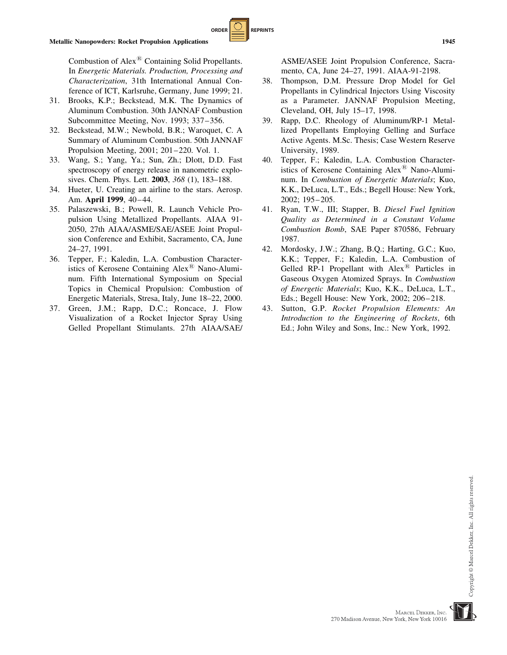Combustion of Alex $\bigcirc$  Containing Solid Propellants. In Energetic Materials. Production, Processing and Characterization, 31th International Annual Conference of ICT, Karlsruhe, Germany, June 1999; 21.

**ORDER REPRINTS** 

- 31. Brooks, K.P.; Beckstead, M.K. The Dynamics of Aluminum Combustion. 30th JANNAF Combustion Subcommittee Meeting, Nov. 1993; 337–356.
- 32. Beckstead, M.W.; Newbold, B.R.; Waroquet, C. A Summary of Aluminum Combustion. 50th JANNAF Propulsion Meeting, 2001; 201–220. Vol. 1.
- 33. Wang, S.; Yang, Ya.; Sun, Zh.; Dlott, D.D. Fast spectroscopy of energy release in nanometric explosives. Chem. Phys. Lett. 2003, 368 (1), 183–188.
- 34. Hueter, U. Creating an airline to the stars. Aerosp. Am. April 1999, 40–44.
- 35. Palaszewski, B.; Powell, R. Launch Vehicle Propulsion Using Metallized Propellants. AIAA 91- 2050, 27th AIAA/ASME/SAE/ASEE Joint Propulsion Conference and Exhibit, Sacramento, CA, June 24–27, 1991.
- 36. Tepper, F.; Kaledin, L.A. Combustion Characteristics of Kerosene Containing Alex $^{\circledR}$  Nano-Aluminum. Fifth International Symposium on Special Topics in Chemical Propulsion: Combustion of Energetic Materials, Stresa, Italy, June 18–22, 2000.
- 37. Green, J.M.; Rapp, D.C.; Roncace, J. Flow Visualization of a Rocket Injector Spray Using Gelled Propellant Stimulants. 27th AIAA/SAE/

ASME/ASEE Joint Propulsion Conference, Sacramento, CA, June 24–27, 1991. AIAA-91-2198.

- 38. Thompson, D.M. Pressure Drop Model for Gel Propellants in Cylindrical Injectors Using Viscosity as a Parameter. JANNAF Propulsion Meeting, Cleveland, OH, July 15–17, 1998.
- 39. Rapp, D.C. Rheology of Aluminum/RP-1 Metallized Propellants Employing Gelling and Surface Active Agents. M.Sc. Thesis; Case Western Reserve University, 1989.
- 40. Tepper, F.; Kaledin, L.A. Combustion Characteristics of Kerosene Containing  $Alex^@$  Nano-Aluminum. In Combustion of Energetic Materials; Kuo, K.K., DeLuca, L.T., Eds.; Begell House: New York, 2002; 195–205.
- 41. Ryan, T.W., III; Stapper, B. Diesel Fuel Ignition Quality as Determined in a Constant Volume Combustion Bomb, SAE Paper 870586, February 1987.
- 42. Mordosky, J.W.; Zhang, B.Q.; Harting, G.C.; Kuo, K.K.; Tepper, F.; Kaledin, L.A. Combustion of Gelled RP-1 Propellant with  $Alex^@$  Particles in Gaseous Oxygen Atomized Sprays. In Combustion of Energetic Materials; Kuo, K.K., DeLuca, L.T., Eds.; Begell House: New York, 2002; 206–218.
- 43. Sutton, G.P. Rocket Propulsion Elements: An Introduction to the Engineering of Rockets, 6th Ed.; John Wiley and Sons, Inc.: New York, 1992.